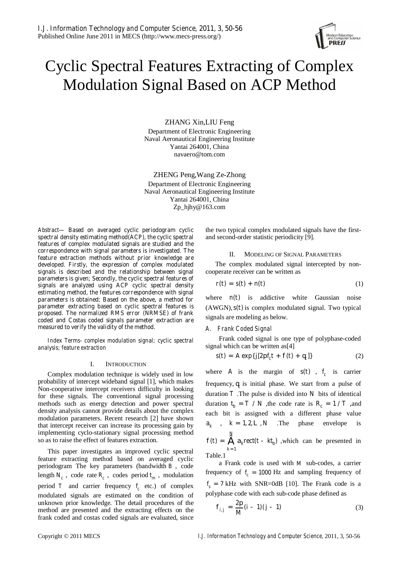

# Cyclic Spectral Features Extracting of Complex Modulation Signal Based on ACP Method

ZHANG Xin,LIU Feng

Department of Electronic Engineering Naval Aeronautical Engineering Institute Yantai 264001, China navaero@tom.com

ZHENG Peng,Wang Ze-Zhong Department of Electronic Engineering Naval Aeronautical Engineering Institute Yantai 264001, China Zp\_hjhy@163.com

*Abstract***— Based on averaged cyclic periodogram cyclic spectral density estimating method(ACP), the cyclic spectral features of complex modulated signals are studied and the correspondence with signal parameters is investigated. The feature extraction methods without prior knowledge are developed. Firstly, the expression of complex modulated signals is described and the relationship between signal parameters is given; Secondly, the cyclic spectral features of signals are analyzed using ACP cyclic spectral density estimating method, the features correspondence with signal parameters is obtained; Based on the above, a method for parameter extracting based on cyclic spectral features is proposed. The normalized RMS error (NRMSE) of frank coded and Costas coded signals parameter extraction are measured to verify the validity of the method.** 

*Index Terms- complex modulation signal; cyclic spectral analysis; feature extraction* 

#### I. INTRODUCTION

Complex modulation technique is widely used in low probability of intercept wideband signal [1], which makes Non-cooperative intercept receivers difficulty in looking for these signals. The conventional signal processing methods such as energy detection and power spectral density analysis cannot provide details about the complex modulation parameters. Recent research [2] have shown that intercept receiver can increase its processing gain by implementing cyclo-stationary signal processing method so as to raise the effect of features extraction.

This paper investigates an improved cyclic spectral feature extracting method based on averaged cyclic periodogram The key parameters (bandwidth *B* , code length  $N_c$ , code rate  $R_c$ , codes period  $t_m$ , modulation period  $T$  and carrier frequency  $f_c$  etc.) of complex modulated signals are estimated on the condition of unknown prior knowledge. The detail procedures of the method are presented and the extracting effects on the frank coded and costas coded signals are evaluated, since

the two typical complex modulated signals have the firstand second-order statistic periodicity [9].

#### II. MODELING OF SIGNAL PARAMETERS

The complex modulated signal intercepted by noncooperate receiver can be written as

$$
I(\mathbf{A}) = \mathbf{S}(\mathbf{A}) + \mathbf{A}(\mathbf{A}) \tag{1}
$$

where  $n(\lambda)$  is addictive white Gaussian noise (AWGN),  $s(t)$  is complex modulated signal. Two typical signals are modeling as below.

### *A. Frank Coded Signal*

Frank coded signal is one type of polyphase-coded signal which can be written as[4]

$$
s(t) = A \exp\{J[2\rho f_t + f(t) + q_c]\}\tag{2}
$$

where *A* is the margin of  $s(t)$ ,  $t_c$  is carrier frequency,  $q_c$  is initial phase. We start from a pulse of duration  $T$ . The pulse is divided into  $N$  bits of identical duration  $t_b = T / N$ , the code rate is  $R_c = 1 / T$ , and each bit is assigned with a different phase value  $a_k$ ,  $k = 1, 2, L, N$  . The phase envelope is 1  $\mathcal{A}(\ell) = \dot{\mathbf{A}}$  a<sub>l</sub>rect( $\ell$ - kt<sub>h</sub>) *N*  $f(\mathbf{A}) = \dot{\mathbf{A}}$  *a*<sub>*x*</sub>rect</sub>(*t*- *kt<sub>b</sub>*), which can be presented in *k* = Table.1

a Frank code is used with *M* sub-codes, a carrier frequency of  $f_c = 1000$  Hz and sampling frequency of  $f<sub>s</sub> = 7$  kHz with SNR=0dB [10]. The Frank code is a polyphase code with each sub-code phase defined as

$$
f_{i,j} = \frac{2p}{M}(i-1)(j-1) \tag{3}
$$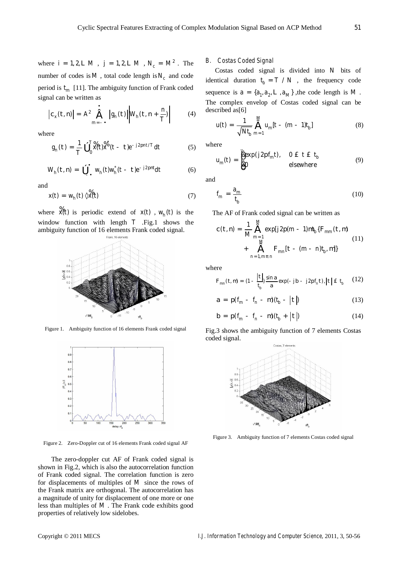where  $i = 1, 2, L M$ ,  $j = 1, 2, L M$ ,  $N_c = M^2$ . The number of codes is  $M$ , total code length is  $N_c$  and code period is  $t_m$  [11]. The ambiguity function of Frank coded signal can be written as

$$
\left| c_x(t, \mathbf{x}) \right| = A^2 \left| \sum_{m=-\infty}^{\infty} \left| g_n(t) \right| \middle| W_{\mathbf{x}}(t, \mathbf{x} + \frac{\mathbf{x}}{T}) \right| \tag{4}
$$

where

$$
g_n'(t) = \frac{1}{T} \mathbf{\hat{0}} \int_0^{T_0} \mathbf{\hat{A}}(t) \mathbf{\hat{A}}^* (t - t) e^{-t/2} P^{int/T} dt
$$
 (5)

$$
W_h(t, n) = \mathbf{0}_{\mathcal{L}^{\times}}^{\mathcal{L}} W_h(t) w_h^*(t - t) e^{-\beta pnt} dt \qquad (6)
$$

and

$$
x(t) = W_{\beta}(t) \times \mathcal{X}(t)
$$
 (7)

where  $\mathcal{H}(\lambda)$  is periodic extend of  $\mathcal{A}(\lambda)$ ,  $W_h(\lambda)$  is the window function with length *T* .Fig.1 shows the ambiguity function of 16 elements Frank coded signal.



Figure 1. Ambiguity function of 16 elements Frank coded signal



Figure 2. Zero-Doppler cut of 16 elements Frank coded signal AF

The zero-doppler cut AF of Frank coded signal is shown in Fig.2, which is also the autocorrelation function of Frank coded signal. The correlation function is zero for displacements of multiples of *M* since the rows of the Frank matrix are orthogonal. The autocorrelation has a magnitude of unity for displacement of one more or one less than multiples of *M* . The Frank code exhibits good properties of relatively low sidelobes.

## *B. Costas Coded Signal*

Costas coded signal is divided into *N* bits of identical duration  $t_{j} = T/N$ , the frequency code sequence is  $a = \{a_1, a_2, L, a_M\}$ , the code length is M. The complex envelop of Costas coded signal can be described as[6]

$$
u(t) = \frac{1}{\sqrt{Nt_b}} \sum_{m=1}^{M} u_m [t - (m-1)t_b]
$$
 (8)

where

$$
u_m(\lambda) = \frac{\frac{3}{4} \exp(\lambda p_m \lambda), \quad 0 \text{ if } \xi \neq 0}{10}
$$
 (9) elsewhere

and

$$
f_m = \frac{a_m}{t_b} \tag{10}
$$

The AF of Frank coded signal can be written as

$$
c(t, n) = \frac{1}{M} \sum_{m=1}^{M} \exp[\sqrt{2p(m-1)}mt_b\{\mathbf{F}_{mm}(t, n)\ + \hat{\mathbf{A}}_{m=1, m} \mathbf{F}_{mn}[t - (m-n)t_b, n]\} \qquad (11)
$$

where

$$
\mathbf{F}_{mn}(t, \mathbf{u}) = (1 - \frac{|t|}{t_b}) \frac{\sin a}{a} \exp(-jb - j2p f_n t), |t| \mathbf{\pounds} \mathbf{t}_b \qquad (12)
$$

$$
a = \mu(f_m - f_n - m)(t_b - |t|)
$$
 (13)

$$
b = p(f_m - f_n - m)(t_b + |t|)
$$
 (14)

Fig.3 shows the ambiguity function of 7 elements Costas coded signal.



Figure 3. Ambiguity function of 7 elements Costas coded signal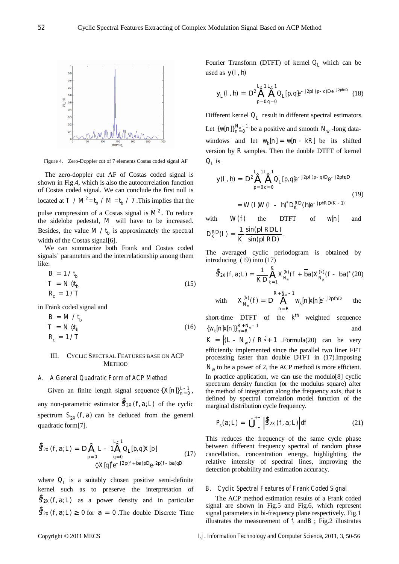

Figure 4. Zero-Doppler cut of 7 elements Costas coded signal AF

The zero-doppler cut AF of Costas coded signal is shown in Fig.4, which is also the autocorrelation function of Costas coded signal. We can conclude the first null is located at  $T / M^2 = t_b / M = t_b / 7$ . This implies that the pulse compression of a Costas signal is  $M^2$ . To reduce the sidelobe pedestal, *M* will have to be increased. Besides, the value  $M / t_b$  is approximately the spectral width of the Costas signal[6].

We can summarize both Frank and Costas coded signals' parameters and the interrelationship among them like:

$$
B = 1 / t_b
$$
  
\n
$$
T = N \times t_b
$$
  
\n
$$
R_c = 1 / T
$$
\n(15)

in Frank coded signal and

$$
B = M / t_b
$$
  
\n
$$
T = N \times t_b
$$
  
\n
$$
R_c = 1 / T
$$
\n(16)

# III. CYCLIC SPECTRAL FEATURES BASE ON ACP **METHOD**

## *A. A General Quadratic Form of ACP Method*

Given an finite length signal sequence  $\{X[n]\}_{n=0}^{L-1}$ , any non-parametric estimator  $\mathcal{S}_{2X}(f, a, b)$  of the cyclic spectrum  $S_{2k}(f, a)$  can be deduced from the general quadratic form[7].

$$
\begin{aligned} \hat{S}_{2X}(f, a, L) &= \mathbf{D} \dot{\mathbf{A}} L - \mathbf{1} \dot{\mathbf{A}} \mathbf{Q}_L[\mu, q] X[\mu] \\ &= 0 \qquad \qquad \downarrow = 0 \qquad \qquad \downarrow = 0 \qquad \qquad \downarrow = 0 \qquad \qquad \downarrow = 0 \qquad \downarrow = 0 \qquad \downarrow = 0 \qquad \downarrow = 0 \qquad \downarrow = 0 \qquad \downarrow = 0 \qquad \downarrow = 0 \qquad \downarrow = 0 \qquad \downarrow = 0 \qquad \downarrow = 0 \qquad \downarrow = 0 \qquad \downarrow = 0 \qquad \downarrow = 0 \qquad \downarrow = 0 \qquad \downarrow = 0 \qquad \downarrow = 0 \qquad \downarrow = 0 \qquad \downarrow = 0 \qquad \downarrow = 0 \qquad \downarrow = 0 \qquad \downarrow = 0 \qquad \downarrow = 0 \qquad \downarrow = 0 \qquad \downarrow = 0 \qquad \downarrow = 0 \qquad \downarrow = 0 \qquad \downarrow = 0 \qquad \downarrow = 0 \qquad \downarrow = 0 \qquad \downarrow = 0 \qquad \downarrow = 0 \qquad \downarrow = 0 \qquad \downarrow = 0 \qquad \downarrow = 0 \qquad \downarrow = 0 \qquad \downarrow = 0 \qquad \downarrow = 0 \qquad \downarrow = 0 \qquad \downarrow = 0 \qquad \downarrow = 0 \qquad \downarrow = 0 \qquad \downarrow = 0 \qquad \downarrow = 0 \qquad \downarrow = 0 \qquad \downarrow = 0 \qquad \downarrow = 0 \qquad \downarrow = 0 \qquad \downarrow = 0 \qquad \downarrow = 0 \qquad \downarrow = 0 \qquad \downarrow = 0 \qquad \downarrow = 0 \qquad \downarrow = 0 \qquad \downarrow = 0 \qquad \downarrow = 0 \qquad \downarrow = 0 \qquad \downarrow = 0 \qquad \downarrow = 0 \qquad \downarrow = 0 \qquad \downarrow = 0 \qquad \downarrow = 0 \qquad \downarrow = 0 \qquad \downarrow = 0 \qquad \downarrow = 0 \qquad \downarrow = 0 \qquad \downarrow = 0 \qquad \downarrow = 0 \qquad \downarrow = 0 \qquad \downarrow = 0 \qquad \downarrow = 0 \qquad \downarrow = 0 \qquad \downarrow
$$

where  $Q_L$  is a suitably chosen positive semi-definite kernel such as to preserve the interpretation of  $S_{2X}(f, a, L)$  as a power density and in particular  $\oint_{2\lambda} f(f, a, L)$ <sup>3</sup> 0 for  $a = 0$ . The double Discrete Time Fourier Transform (DTFT) of kernel  $Q_L$  which can be used as  $y(1, h)$ 

$$
y_L(\lambda, \mathbf{\hat{n}}) = \mathbf{D}^2 \dot{\mathbf{\hat{a}}} \dot{\mathbf{\hat{a}}} Q_L(\mathbf{\hat{\mu}}, \mathbf{\hat{q}}) e^{-\lambda^2 \mathbf{\hat{\mu}}^2 (\mathbf{\hat{\mu}} - \mathbf{\hat{q}}) \mathbf{D} e^{-\lambda^2 \mathbf{\hat{\mu}} \mathbf{\hat{\mu}} \mathbf{D}}} \quad (18)
$$

Different kernel  $Q<sub>L</sub>$  result in different spectral estimators. Let  $\{ \boldsymbol{\mu}[\boldsymbol{n}] \}_{n=0}^{N_w - 1}$  be a positive and smooth  $N_w$ -long datawindows and let  $W_k[n] = w[n - kR]$  be its shifted version by *R* samples. Then the double DTFT of kernel  $Q<sub>r</sub>$  is

$$
y(l, h) = D^2 \dot{\mathbf{a}} \dot{\mathbf{a}} \partial_{l} \rho_{l} \rho_{l} \dot{\mathbf{a}}^{p/l} (\rho \dot{\mathbf{a}})^{\beta} \dot{\mathbf{a}}^{l} \rho_{l} \dot{\mathbf{a}}^{p/l} (\rho \dot{\mathbf{a}})^{\beta} \dot{\mathbf{a}}^{l} \dot{\mathbf{a}}^{l} (\rho \dot{\mathbf{a}})^{\beta}
$$
\n
$$
= W(l)W(l - h)^* D_K^{\text{AD}}(\dot{\mathbf{a}})^{\beta} \dot{\mathbf{a}}^{l} (\dot{\mathbf{a}})^{\beta}
$$
\n
$$
(19)
$$

with  $W(A)$  the DTFT of  $W[A]$  and  $D_K^{R}}(I) = \frac{1}{K} \frac{\sin(\rho/R)L)}{\sin(\rho/R)}$  $K \sin(\rho / K)$  $P(P) = \frac{1}{K} \frac{\sin(\rho/R) L}{\sin(\rho/R)}$ .

The averaged cyclic periodogram is obtained by introducing (19) into (17)

$$
\hat{S}_{2X}(f, a, L) = \frac{1}{A D} \sum_{k=1}^{K} X_{N_w}^{(k)}(f + \overline{b} a) X_{N_w}^{(k)}(f - b a)^*(20)
$$

with 
$$
X_{N_{\mu}}^{kA}(f) = D \prod_{n=R}^{R+N_{\mu}-1} W_{k}[n]x[n]e^{-r/2p/n}
$$
 the

short-time DTFT of the  $\mathbf{A}^{\mathbf{h}}$  weighted sequence  $\{W_k[n]x[n]\}_{n=R}^{R+N_w-1}$  and

 $K = \frac{\hat{\mathbf{g}}}{\mathbf{g}}(Z - N_w) / R_{\mathbf{u}}^{\mathbf{u}} + 1$  .Formula(20) can be very efficiently implemented since the parallel two liner FFT processing faster than double DTFT in (17).Imposing  $N_w$  to be a power of 2, the ACP method is more efficient. In practice application, we can use the modulo[8] cyclic spectrum density function (or the modulus square) after the method of integration along the frequency axis, that is defined by spectral correlation model function of the marginal distribution cycle frequency.

$$
P_s(a, L) = \hat{\mathbf{0}}_{-\mathbf{Y}}^{\dagger} \left| \hat{S}_{2X}(f, a, L) \right| df \tag{21}
$$

This reduces the frequency of the same cycle phase between different frequency spectral of random phase cancellation, concentration energy, highlighting the relative intensity of spectral lines, improving the detection probability and estimation accuracy.

## *B. Cyclic Spectral Features of Frank Coded Signal*

The ACP method estimation results of a Frank coded signal are shown in Fig.5 and Fig.6, which represent signal parameters in bi-frequency plane respectively. Fig.1 illustrates the measurement of  $f_c$  and  $\vec{B}$ ; Fig.2 illustrates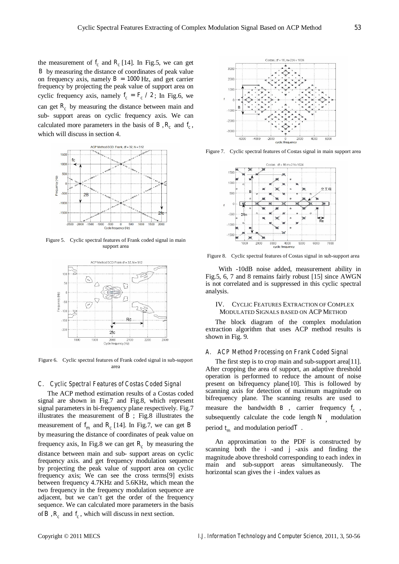the measurement of  $I_c$  and  $R_c$  [14]. In Fig.5, we can get *B* by measuring the distance of coordinates of peak value on frequency axis, namely  $B = 1000$  Hz, and get carrier frequency by projecting the peak value of support area on cyclic frequency axis, namely  $f_c = F_c / 2$ ; In Fig.6, we can get  $\mathbb{R}_c$  by measuring the distance between main and sub- support areas on cyclic frequency axis. We can calculated more parameters in the basis of  $B$ ,  $R_c$  and  $I_c$ , which will discuss in section 4.



Figure 5. Cyclic spectral features of Frank coded signal in main support area



Figure 6. Cyclic spectral features of Frank coded signal in sub-support area

## *C. Cyclic Spectral Features of Costas Coded Signal*

The ACP method estimation results of a Costas coded signal are shown in Fig.7 and Fig.8, which represent signal parameters in bi-frequency plane respectively. Fig.7 illustrates the measurement of  $\mathbf{B}$ ; Fig.8 illustrates the measurement of  $f_m$  and  $R_c$  [14]. In Fig.7, we can get *B* by measuring the distance of coordinates of peak value on frequency axis, In Fig.8 we can get  $R_c$  by measuring the distance between main and sub- support areas on cyclic frequency axis. and get frequency modulation sequence by projecting the peak value of support area on cyclic frequency axis; We can see the cross terms[9] exists between frequency 4.7KHz and 5.6KHz, which mean the two frequency in the frequency modulation sequence are adjacent, but we can't get the order of the frequency sequence. We can calculated more parameters in the basis of  $B$ ,  $R_c$  and  $I_c$ , which will discuss in next section.



Figure 7. Cyclic spectral features of Costas signal in main support area



Figure 8. Cyclic spectral features of Costas signal in sub-support area

With -10dB noise added, measurement ability in Fig.5, 6, 7 and 8 remains fairly robust [15] since AWGN is not correlated and is suppressed in this cyclic spectral analysis.

## IV. CYCLIC FEATURES EXTRACTION OF COMPLEX MODULATED SIGNALS BASED ON ACP METHOD

The block diagram of the complex modulation extraction algorithm that uses ACP method results is shown in Fig. 9.

#### *A. ACP Method Processing on Frank Coded Signal*

The first step is to crop main and sub-support area[11]. After cropping the area of support, an adaptive threshold operation is performed to reduce the amount of noise present on bifrequency plane[10]. This is followed by scanning axis for detection of maximum magnitude on bifrequency plane. The scanning results are used to measure the bandwidth  $B$ , carrier frequency  $f_c$ , subsequently calculate the code length  $N_{\perp}$  modulation period  $t_m$  and modulation period  $T$ .

An approximation to the PDF is constructed by scanning both the  $\vec{I}$  -and  $\vec{J}$  -axis and finding the magnitude above threshold corresponding to each index in main and sub-support areas simultaneously. The horizontal scan gives the *i* -index values as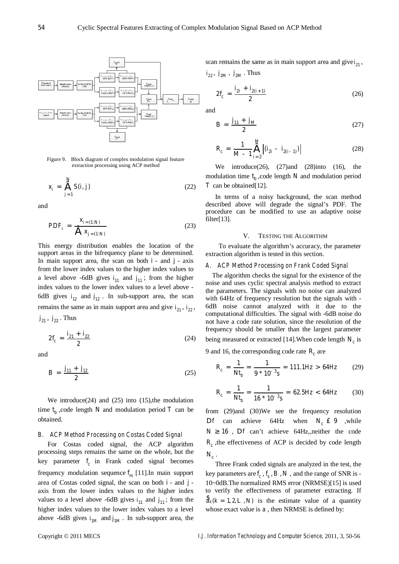

Figure 9. Block diagram of complex modulation signal feature extraction processing using ACP method

$$
X_j = \oint_{j=1}^{N} S(j,j) \tag{22}
$$

and

$$
PDF_{j} = \frac{X_{j= (1:N)}}{\hat{\mathbf{d}} \cdot X_{j= (1:N)}}
$$
(23)

This energy distribution enables the location of the support areas in the bifrequency plane to be determined. In main support area, the scan on both  $\dot{\mathbf{i}}$  - and  $\dot{\mathbf{i}}$  - axis from the lower index values to the higher index values to a level above -6dB gives  $I_{11}$  and  $I_{11}$ ; from the higher index values to the lower index values to a level above - 6dB gives  $f_2$  and  $f_2$ . In sub-support area, the scan remains the same as in main support area and give  $I_{21}$ ,  $I_{22}$ ,  $j_2$ ,  $j_2$ . Thus

$$
2f_c = \frac{I_{21} + I_{22}}{2} \tag{24}
$$

and

$$
B = \frac{J_{11} + J_{12}}{2} \tag{25}
$$

We introduce $(24)$  and  $(25)$  into  $(15)$ , the modulation time  $t_{\beta}$ , code length *N* and modulation period *T* can be obtained.

## *B. ACP Method Processing on Costas Coded Signal*

For Costas coded signal, the ACP algorithm processing steps remains the same on the whole, but the key parameter  $f_c$  in Frank coded signal becomes frequency modulation sequence  $f_m$  [11]. In main support area of Costas coded signal, the scan on both  $\dot{\mathbf{I}}$ - and  $\dot{\mathbf{I}}$ axis from the lower index values to the higher index values to a level above -6dB gives  $\vec{i}_1$  and  $\vec{j}_1$ ; from the higher index values to the lower index values to a level above -6dB gives  $\mathbf{i}_M$  and  $\mathbf{i}_M$ . In sub-support area, the scan remains the same as in main support area and give  $\zeta_1$ ,

$$
2f_c = \frac{i_{2j} + i_{2(j+1)}}{2}
$$
 (26)

and

$$
B = \frac{j_{11} + j_M}{2} \tag{27}
$$

$$
R_c = \frac{1}{M-1} \prod_{j=2}^{M} \left| (i'_{2j} - i'_{2(j-1)}) \right|
$$
 (28)

We introduce(26),  $(27)$  and  $(28)$  into  $(16)$ , the modulation time  $t_{j}$ , code length *N* and modulation period *T* can be obtained[12].

In terms of a noisy background, the scan method described above will degrade the signal's PDF. The procedure can be modified to use an adaptive noise filter $[13]$ .

#### V. TESTING THE ALGORITHM

To evaluate the algorithm's accuracy, the parameter extraction algorithm is tested in this section.

#### *A. ACP Method Processing on Frank Coded Signal*

The algorithm checks the signal for the existence of the noise and uses cyclic spectral analysis method to extract the parameters. The signals with no noise can analyzed with 64Hz of frequency resolution but the signals with - 6dB noise cannot analyzed with it due to the computational difficulties. The signal with -6dB noise do not have a code rate solution, since the resolution of the frequency should be smaller than the largest parameter being measured or extracted [14]. When code length  $N_c$  is

9 and 16, the corresponding code rate  $\mathbb{R}_c$  are

$$
R_c = \frac{1}{N_f} = \frac{1}{9 * 10^{-3} s} = 111.1 Hz > 64 Hz
$$
 (29)

$$
R_c = \frac{1}{Nt_b} = \frac{1}{16 * 10^{-3} s} = 62.5 Hz < 64 Hz
$$
 (30)

from (29)and (30)We see the frequency resolution  $Df$  can achieve 64Hz when  $N_c \, \pounds \, 9$  ,while  $N^3$  16, Df can't achieve 64Hz, neither the code  $R_c$ , the effectiveness of ACP is decided by code length  $N_c$ .

Three Frank coded signals are analyzed in the test, the key parameters are  $f_c$ ,  $f_s$ ,  $B$ ,  $N$ , and the range of SNR is -10~0dB.The normalized RMS error (NRMSE)[15] is used to verify the effectiveness of parameter extracting. If  $\partial_{k}(k=1,2,L,\mathcal{N})$  is the estimate value of a quantity whose exact value is  $a$ , then NRMSE is defined by: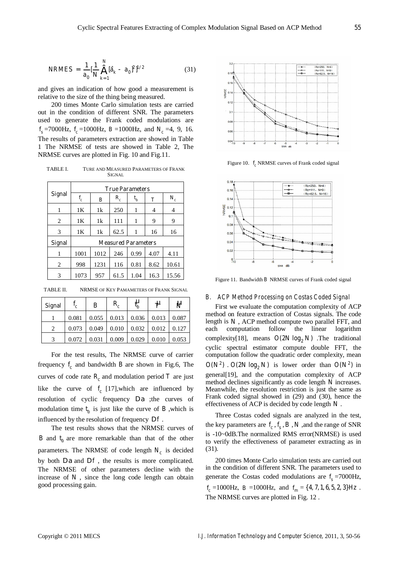and gives an indication of how good a measurement is relative to the size of the thing being measured.

200 times Monte Carlo simulation tests are carried out in the condition of different SNR. The parameters used to generate the Frank coded modulations are  $f_s$ =7000Hz,  $f_c$ =1000Hz,  $B$ =1000Hz, and  $N_c$ =4, 9, 16. The results of parameters extraction are showed in Table 1 The NRMSE of tests are showed in Table 2, The NRMSE curves are plotted in Fig. 10 and Fig.11.

TABLE I. TURE AND MEASURED PARAMETERS OF FRANK **SIGNAL** 

|               | <b>True Parameters</b>     |                  |         |      |              |       |  |  |
|---------------|----------------------------|------------------|---------|------|--------------|-------|--|--|
| <b>Signal</b> | $f_c$                      | $\boldsymbol{B}$ | $R_{c}$ | t,   | $\mathcal T$ | $N_c$ |  |  |
| 1             | 1K                         | 1k               | 250     | 1    | 4            | 4     |  |  |
| 2             | 1K                         | 1k               | 111     | 1    | 9            | 9     |  |  |
| 3             | 1K                         | 1k               | 62.5    | 1    | 16           | 16    |  |  |
| <b>Signal</b> | <b>Measured Parameters</b> |                  |         |      |              |       |  |  |
| 1             | 1001                       | 1012             | 246     | 0.99 | 4.07         | 4.11  |  |  |
| 2             | 998                        | 1231             | 116     | 0.81 | 8.62         | 10.61 |  |  |
| 3             | 1073                       | 957              | 61.5    | 1.04 | 16.3         | 15.56 |  |  |

TABLE II. NRMSE OF KEY PAMAMETERS OF FRANK SIGNAL

| <b>Signal</b> | $f_c$ | $\boldsymbol{B}$ | $R_{c}$ | Y,    | ゖ     | W     |
|---------------|-------|------------------|---------|-------|-------|-------|
|               | 0.081 | 0.055            | 0.013   | 0.036 | 0.013 | 0.087 |
|               | 0.073 | 0.049            | 0.010   | 0.032 | 0.012 | 0.127 |
| 2             | 0.072 | 0.031            | 0.009   | 0.029 | 0.010 | 0.053 |

For the test results, The NRMSE curve of carrier frequency  $f_c$  and bandwidth  $B$  are shown in Fig.6, The curves of code rate  $R_c$  and modulation period  $T$  are just like the curve of  $f_c$  [17], which are influenced by resolution of cyclic frequency D*a* ;the curves of modulation time  $t_b$  is just like the curve of  $B$ , which is influenced by the resolution of frequency D*f* .

The test results shows that the NRMSE curves of  $B$  and  $t<sub>j</sub>$  are more remarkable than that of the other parameters. The NRMSE of code length  $N_c$  is decided by both D*a* and D*f* , the results is more complicated. The NRMSE of other parameters decline with the increase of  $N$ , since the long code length can obtain good processing gain.



Figure 10.  $f_c$ NRMSE curves of Frank coded signal



Figure 11. Bandwidth *B* NRMSE curves of Frank coded signal

#### *B. ACP Method Processing on Costas Coded Signal*

First we evaluate the computation complexity of ACP method on feature extraction of Costas signals. The code length is  $N$ , ACP method compute two parallel FFT, and each computation follow the linear logarithm complexity[18], means  $O(2N \log_2 N)$  .The traditional cyclic spectral estimator compute double FFT, the computation follow the quadratic order complexity, mean  $O(N^2)$  *O*  $O(2N \log_2 N)$  is lower order than  $O(N^2)$  in general[19], and the computation complexity of ACP method declines significantly as code length *N* increases. Meanwhile, the resolution restriction is just the same as Frank coded signal showed in (29) and (30), hence the effectiveness of ACP is decided by code length *N* .

Three Costas coded signals are analyzed in the test, the key parameters are  $f_c$ ,  $f_s$ ,  $B$ ,  $N$ , and the range of SNR is -10~0dB.The normalized RMS error(NRMSE) is used to verify the effectiveness of parameter extracting as in (31).

200 times Monte Carlo simulation tests are carried out in the condition of different SNR. The parameters used to generate the Costas coded modulations are  $f_s$ =7000Hz,

 $f_c = 1000 \text{ Hz}$ ,  $B = 1000 \text{ Hz}$ , and  $f_m = \{4, 7, 1, 6, 5, 2, 3\}$  *Hz*. The NRMSE curves are plotted in Fig. 12 .